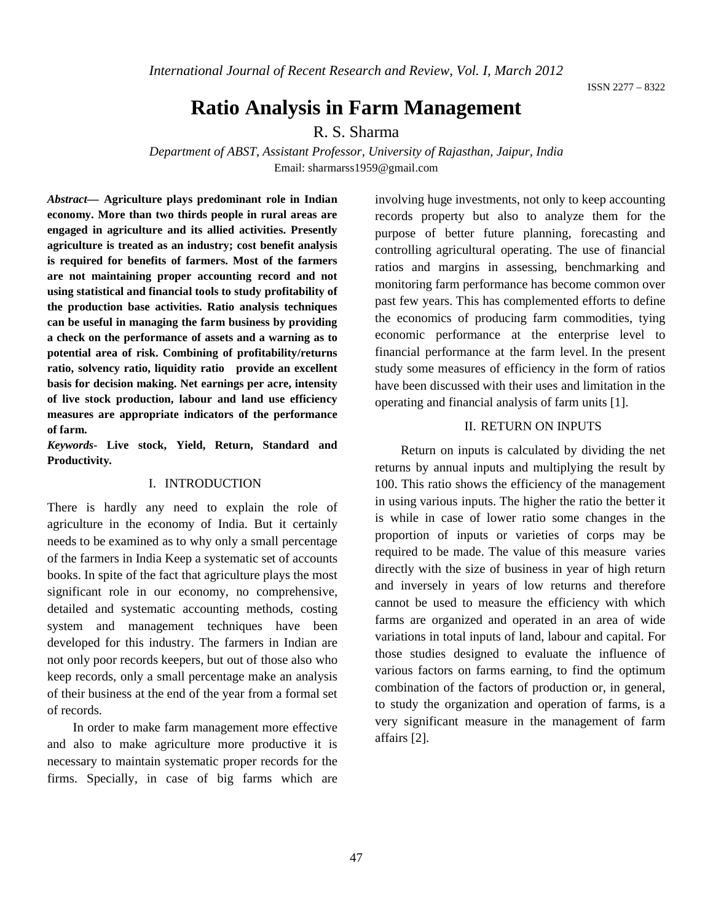*International Journal of Recent Research and Review, Vol. I, March 2012*

ISSN 2277 – 8322

# **Ratio Analysis in Farm Management**

# R. S. Sharma

*Department of ABST, Assistant Professor, University of Rajasthan, Jaipur, India* Email: sharmarss1959@gmail.com

*Abstract***— Agriculture plays predominant role in Indian economy. More than two thirds people in rural areas are engaged in agriculture and its allied activities. Presently agriculture is treated as an industry; cost benefit analysis is required for benefits of farmers. Most of the farmers are not maintaining proper accounting record and not using statistical and financial tools to study profitability of the production base activities. Ratio analysis techniques can be useful in managing the farm business by providing a check on the performance of assets and a warning as to potential area of risk. Combining of profitability/returns ratio, solvency ratio, liquidity ratio provide an excellent basis for decision making. Net earnings per acre, intensity of live stock production, labour and land use efficiency measures are appropriate indicators of the performance of farm.**

*Keywords-* **Live stock, Yield, Return, Standard and Productivity***.*

## I. INTRODUCTION

There is hardly any need to explain the role of agriculture in the economy of India. But it certainly needs to be examined as to why only a small percentage of the farmers in India Keep a systematic set of accounts books. In spite of the fact that agriculture plays the most significant role in our economy, no comprehensive, detailed and systematic accounting methods, costing system and management techniques have been developed for this industry. The farmers in Indian are not only poor records keepers, but out of those also who keep records, only a small percentage make an analysis of their business at the end of the year from a formal set of records.

In order to make farm management more effective and also to make agriculture more productive it is necessary to maintain systematic proper records for the firms. Specially, in case of big farms which are involving huge investments, not only to keep accounting records property but also to analyze them for the purpose of better future planning, forecasting and controlling agricultural operating. The use of financial ratios and margins in assessing, benchmarking and monitoring farm performance has become common over past few years. This has complemented efforts to define the economics of producing farm commodities, tying economic performance at the enterprise level to financial performance at the farm level. In the present study some measures of efficiency in the form of ratios have been discussed with their uses and limitation in the operating and financial analysis of farm units [1].

## II. RETURN ON INPUTS

Return on inputs is calculated by dividing the net returns by annual inputs and multiplying the result by 100. This ratio shows the efficiency of the management in using various inputs. The higher the ratio the better it is while in case of lower ratio some changes in the proportion of inputs or varieties of corps may be required to be made. The value of this measure varies directly with the size of business in year of high return and inversely in years of low returns and therefore cannot be used to measure the efficiency with which farms are organized and operated in an area of wide variations in total inputs of land, labour and capital. For those studies designed to evaluate the influence of various factors on farms earning, to find the optimum combination of the factors of production or, in general, to study the organization and operation of farms, is a very significant measure in the management of farm affairs [2].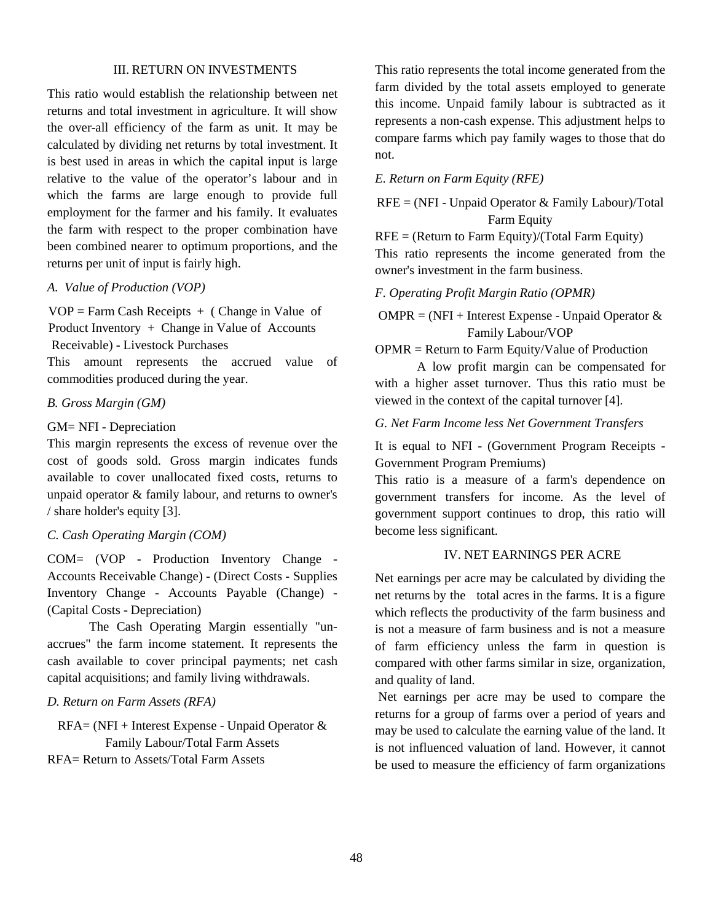#### III. RETURN ON INVESTMENTS

This ratio would establish the relationship between net returns and total investment in agriculture. It will show the over-all efficiency of the farm as unit. It may be calculated by dividing net returns by total investment. It is best used in areas in which the capital input is large relative to the value of the operator's labour and in which the farms are large enough to provide full employment for the farmer and his family. It evaluates the farm with respect to the proper combination have been combined nearer to optimum proportions, and the returns per unit of input is fairly high.

## *A. Value of Production (VOP)*

 $VOP = \text{Farm Cash Receipts } + ( \text{Change in Value of})$ Product Inventory + Change in Value of Accounts Receivable) - Livestock Purchases This amount represents the accrued value of commodities produced during the year.

# *B. Gross Margin (GM)*

#### GM= NFI - Depreciation

This margin represents the excess of revenue over the cost of goods sold. Gross margin indicates funds available to cover unallocated fixed costs, returns to unpaid operator & family labour, and returns to owner's / share holder's equity [3].

# *C. Cash Operating Margin (COM)*

COM= (VOP - Production Inventory Change - Accounts Receivable Change) - (Direct Costs - Supplies Inventory Change - Accounts Payable (Change) - (Capital Costs - Depreciation)

The Cash Operating Margin essentially "unaccrues" the farm income statement. It represents the cash available to cover principal payments; net cash capital acquisitions; and family living withdrawals.

#### *D. Return on Farm Assets (RFA)*

 $RFA = (NFI + Interest\,)$  Expense - Unpaid Operator  $\&$ Family Labour/Total Farm Assets RFA= Return to Assets/Total Farm Assets

This ratio represents the total income generated from the farm divided by the total assets employed to generate this income. Unpaid family labour is subtracted as it represents a non-cash expense. This adjustment helps to compare farms which pay family wages to those that do not.

#### *E. Return on Farm Equity (RFE)*

 $RFE = (NFI - Unpaid Operator & Family Laboratory/Total$ Farm Equity

 $RFE = (Return to Farm Equity)/(Total Farm Equity)$ This ratio represents the income generated from the owner's investment in the farm business.

#### *F. Operating Profit Margin Ratio (OPMR)*

 $OMPR = (NFI + Interest$  Expense - Unpaid Operator & Family Labour/VOP

OPMR = Return to Farm Equity/Value of Production

A low profit margin can be compensated for with a higher asset turnover. Thus this ratio must be viewed in the context of the capital turnover [4].

*G. Net Farm Income less Net Government Transfers*

It is equal to NFI - (Government Program Receipts - Government Program Premiums)

This ratio is a measure of a farm's dependence on government transfers for income. As the level of government support continues to drop, this ratio will become less significant.

# IV. NET EARNINGS PER ACRE

Net earnings per acre may be calculated by dividing the net returns by the total acres in the farms. It is a figure which reflects the productivity of the farm business and is not a measure of farm business and is not a measure of farm efficiency unless the farm in question is compared with other farms similar in size, organization, and quality of land.

Net earnings per acre may be used to compare the returns for a group of farms over a period of years and may be used to calculate the earning value of the land. It is not influenced valuation of land. However, it cannot be used to measure the efficiency of farm organizations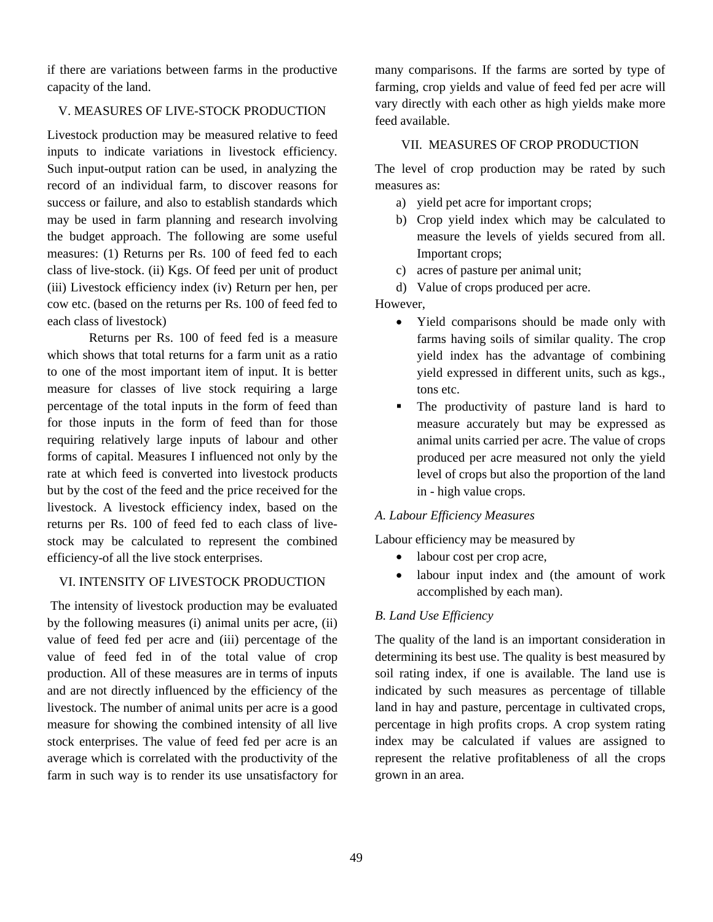if there are variations between farms in the productive capacity of the land.

# V. MEASURES OF LIVE-STOCK PRODUCTION

Livestock production may be measured relative to feed inputs to indicate variations in livestock efficiency. Such input-output ration can be used, in analyzing the record of an individual farm, to discover reasons for success or failure, and also to establish standards which may be used in farm planning and research involving the budget approach. The following are some useful measures: (1) Returns per Rs. 100 of feed fed to each class of live-stock. (ii) Kgs. Of feed per unit of product (iii) Livestock efficiency index (iv) Return per hen, per cow etc. (based on the returns per Rs. 100 of feed fed to each class of livestock)

Returns per Rs. 100 of feed fed is a measure which shows that total returns for a farm unit as a ratio to one of the most important item of input. It is better measure for classes of live stock requiring a large percentage of the total inputs in the form of feed than for those inputs in the form of feed than for those requiring relatively large inputs of labour and other forms of capital. Measures I influenced not only by the rate at which feed is converted into livestock products but by the cost of the feed and the price received for the livestock. A livestock efficiency index, based on the returns per Rs. 100 of feed fed to each class of livestock may be calculated to represent the combined efficiency-of all the live stock enterprises.

# VI. INTENSITY OF LIVESTOCK PRODUCTION

The intensity of livestock production may be evaluated by the following measures (i) animal units per acre, (ii) value of feed fed per acre and (iii) percentage of the value of feed fed in of the total value of crop production. All of these measures are in terms of inputs and are not directly influenced by the efficiency of the livestock. The number of animal units per acre is a good measure for showing the combined intensity of all live stock enterprises. The value of feed fed per acre is an average which is correlated with the productivity of the farm in such way is to render its use unsatisfactory for many comparisons. If the farms are sorted by type of farming, crop yields and value of feed fed per acre will vary directly with each other as high yields make more feed available.

# VII. MEASURES OF CROP PRODUCTION

The level of crop production may be rated by such measures as:

- a) yield pet acre for important crops;
- b) Crop yield index which may be calculated to measure the levels of yields secured from all. Important crops;
- c) acres of pasture per animal unit;
- d) Value of crops produced per acre.

# However,

- Yield comparisons should be made only with farms having soils of similar quality. The crop yield index has the advantage of combining yield expressed in different units, such as kgs., tons etc.
- The productivity of pasture land is hard to measure accurately but may be expressed as animal units carried per acre. The value of crops produced per acre measured not only the yield level of crops but also the proportion of the land in - high value crops.

# *A. Labour Efficiency Measures*

Labour efficiency may be measured by

- labour cost per crop acre,
- labour input index and (the amount of work accomplished by each man).

# *B. Land Use Efficiency*

The quality of the land is an important consideration in determining its best use. The quality is best measured by soil rating index, if one is available. The land use is indicated by such measures as percentage of tillable land in hay and pasture, percentage in cultivated crops, percentage in high profits crops. A crop system rating index may be calculated if values are assigned to represent the relative profitableness of all the crops grown in an area.